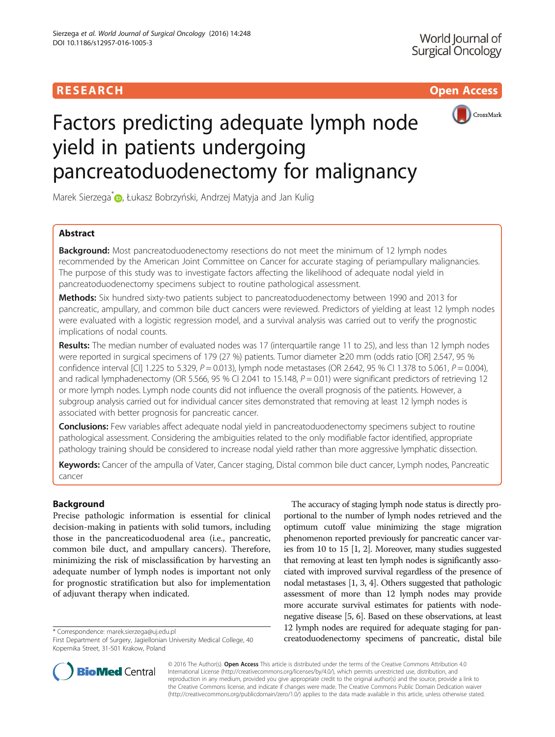# RESEARCH **RESEARCH CHOOSE ACCESS**



# Factors predicting adequate lymph node yield in patients undergoing pancreatoduodenectomy for malignancy

Marek Sierzega<sup>\*</sup> (b), Łukasz Bobrzyński, Andrzej Matyja and Jan Kulig

# Abstract

**Background:** Most pancreatoduodenectomy resections do not meet the minimum of 12 lymph nodes recommended by the American Joint Committee on Cancer for accurate staging of periampullary malignancies. The purpose of this study was to investigate factors affecting the likelihood of adequate nodal yield in pancreatoduodenectomy specimens subject to routine pathological assessment.

Methods: Six hundred sixty-two patients subject to pancreatoduodenectomy between 1990 and 2013 for pancreatic, ampullary, and common bile duct cancers were reviewed. Predictors of yielding at least 12 lymph nodes were evaluated with a logistic regression model, and a survival analysis was carried out to verify the prognostic implications of nodal counts.

Results: The median number of evaluated nodes was 17 (interquartile range 11 to 25), and less than 12 lymph nodes were reported in surgical specimens of 179 (27 %) patients. Tumor diameter ≥20 mm (odds ratio [OR] 2.547, 95 % confidence interval [CI] 1.225 to 5.329,  $P = 0.013$ ), lymph node metastases (OR 2.642, 95 % CI 1.378 to 5.061,  $P = 0.004$ ), and radical lymphadenectomy (OR 5.566, 95 % CI 2.041 to 15.148,  $P = 0.01$ ) were significant predictors of retrieving 12 or more lymph nodes. Lymph node counts did not influence the overall prognosis of the patients. However, a subgroup analysis carried out for individual cancer sites demonstrated that removing at least 12 lymph nodes is associated with better prognosis for pancreatic cancer.

Conclusions: Few variables affect adequate nodal yield in pancreatoduodenectomy specimens subject to routine pathological assessment. Considering the ambiguities related to the only modifiable factor identified, appropriate pathology training should be considered to increase nodal yield rather than more aggressive lymphatic dissection.

Keywords: Cancer of the ampulla of Vater, Cancer staging, Distal common bile duct cancer, Lymph nodes, Pancreatic cancer

# Background

Precise pathologic information is essential for clinical decision-making in patients with solid tumors, including those in the pancreaticoduodenal area (i.e., pancreatic, common bile duct, and ampullary cancers). Therefore, minimizing the risk of misclassification by harvesting an adequate number of lymph nodes is important not only for prognostic stratification but also for implementation of adjuvant therapy when indicated.

The accuracy of staging lymph node status is directly proportional to the number of lymph nodes retrieved and the optimum cutoff value minimizing the stage migration phenomenon reported previously for pancreatic cancer varies from 10 to 15 [\[1, 2\]](#page-6-0). Moreover, many studies suggested that removing at least ten lymph nodes is significantly associated with improved survival regardless of the presence of nodal metastases [\[1, 3](#page-6-0), [4](#page-6-0)]. Others suggested that pathologic assessment of more than 12 lymph nodes may provide more accurate survival estimates for patients with nodenegative disease [[5, 6](#page-6-0)]. Based on these observations, at least 12 lymph nodes are required for adequate staging for panthe same are tequined to adequate staging to pair<br>First Department of Surgery, Jagiellonian University Medical College, 40 **First Departments of pancreatic, distal bile** 



© 2016 The Author(s). Open Access This article is distributed under the terms of the Creative Commons Attribution 4.0 International License [\(http://creativecommons.org/licenses/by/4.0/](http://creativecommons.org/licenses/by/4.0/)), which permits unrestricted use, distribution, and reproduction in any medium, provided you give appropriate credit to the original author(s) and the source, provide a link to the Creative Commons license, and indicate if changes were made. The Creative Commons Public Domain Dedication waiver [\(http://creativecommons.org/publicdomain/zero/1.0/](http://creativecommons.org/publicdomain/zero/1.0/)) applies to the data made available in this article, unless otherwise stated.

First Department of Surgery, Jagiellonian University Medical College, 40 Kopernika Street, 31-501 Krakow, Poland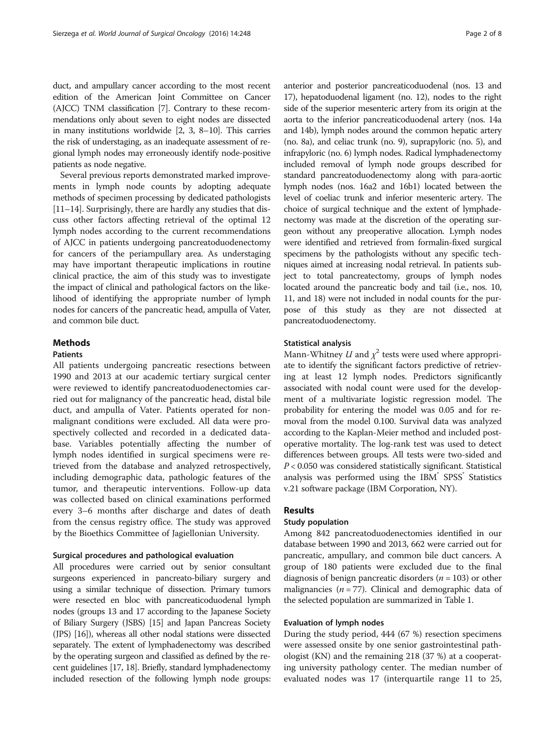duct, and ampullary cancer according to the most recent edition of the American Joint Committee on Cancer (AJCC) TNM classification [[7](#page-6-0)]. Contrary to these recommendations only about seven to eight nodes are dissected in many institutions worldwide [\[2](#page-6-0), [3](#page-6-0), [8](#page-6-0)–[10\]](#page-6-0). This carries the risk of understaging, as an inadequate assessment of regional lymph nodes may erroneously identify node-positive patients as node negative.

Several previous reports demonstrated marked improvements in lymph node counts by adopting adequate methods of specimen processing by dedicated pathologists [[11](#page-6-0)–[14\]](#page-6-0). Surprisingly, there are hardly any studies that discuss other factors affecting retrieval of the optimal 12 lymph nodes according to the current recommendations of AJCC in patients undergoing pancreatoduodenectomy for cancers of the periampullary area. As understaging may have important therapeutic implications in routine clinical practice, the aim of this study was to investigate the impact of clinical and pathological factors on the likelihood of identifying the appropriate number of lymph nodes for cancers of the pancreatic head, ampulla of Vater, and common bile duct.

# **Methods**

# Patients

All patients undergoing pancreatic resections between 1990 and 2013 at our academic tertiary surgical center were reviewed to identify pancreatoduodenectomies carried out for malignancy of the pancreatic head, distal bile duct, and ampulla of Vater. Patients operated for nonmalignant conditions were excluded. All data were prospectively collected and recorded in a dedicated database. Variables potentially affecting the number of lymph nodes identified in surgical specimens were retrieved from the database and analyzed retrospectively, including demographic data, pathologic features of the tumor, and therapeutic interventions. Follow-up data was collected based on clinical examinations performed every 3–6 months after discharge and dates of death from the census registry office. The study was approved by the Bioethics Committee of Jagiellonian University.

# Surgical procedures and pathological evaluation

All procedures were carried out by senior consultant surgeons experienced in pancreato-biliary surgery and using a similar technique of dissection. Primary tumors were resected en bloc with pancreaticoduodenal lymph nodes (groups 13 and 17 according to the Japanese Society of Biliary Surgery (JSBS) [\[15\]](#page-6-0) and Japan Pancreas Society (JPS) [[16\]](#page-6-0)), whereas all other nodal stations were dissected separately. The extent of lymphadenectomy was described by the operating surgeon and classified as defined by the recent guidelines [\[17](#page-6-0), [18](#page-6-0)]. Briefly, standard lymphadenectomy included resection of the following lymph node groups: anterior and posterior pancreaticoduodenal (nos. 13 and 17), hepatoduodenal ligament (no. 12), nodes to the right side of the superior mesenteric artery from its origin at the aorta to the inferior pancreaticoduodenal artery (nos. 14a and 14b), lymph nodes around the common hepatic artery (no. 8a), and celiac trunk (no. 9), suprapyloric (no. 5), and infrapyloric (no. 6) lymph nodes. Radical lymphadenectomy included removal of lymph node groups described for standard pancreatoduodenectomy along with para-aortic lymph nodes (nos. 16a2 and 16b1) located between the level of coeliac trunk and inferior mesenteric artery. The choice of surgical technique and the extent of lymphadenectomy was made at the discretion of the operating surgeon without any preoperative allocation. Lymph nodes were identified and retrieved from formalin-fixed surgical specimens by the pathologists without any specific techniques aimed at increasing nodal retrieval. In patients subject to total pancreatectomy, groups of lymph nodes located around the pancreatic body and tail (i.e., nos. 10, 11, and 18) were not included in nodal counts for the purpose of this study as they are not dissected at pancreatoduodenectomy.

# Statistical analysis

Mann-Whitney U and  $\chi^2$  tests were used where appropriate to identify the significant factors predictive of retrieving at least 12 lymph nodes. Predictors significantly associated with nodal count were used for the development of a multivariate logistic regression model. The probability for entering the model was 0.05 and for removal from the model 0.100. Survival data was analyzed according to the Kaplan-Meier method and included postoperative mortality. The log-rank test was used to detect differences between groups. All tests were two-sided and  $P < 0.050$  was considered statistically significant. Statistical analysis was performed using the IBM® SPSS® Statistics v.21 software package (IBM Corporation, NY).

# Results

# Study population

Among 842 pancreatoduodenectomies identified in our database between 1990 and 2013, 662 were carried out for pancreatic, ampullary, and common bile duct cancers. A group of 180 patients were excluded due to the final diagnosis of benign pancreatic disorders ( $n = 103$ ) or other malignancies ( $n = 77$ ). Clinical and demographic data of the selected population are summarized in Table [1](#page-2-0).

# Evaluation of lymph nodes

During the study period, 444 (67 %) resection specimens were assessed onsite by one senior gastrointestinal pathologist (KN) and the remaining 218 (37 %) at a cooperating university pathology center. The median number of evaluated nodes was 17 (interquartile range 11 to 25,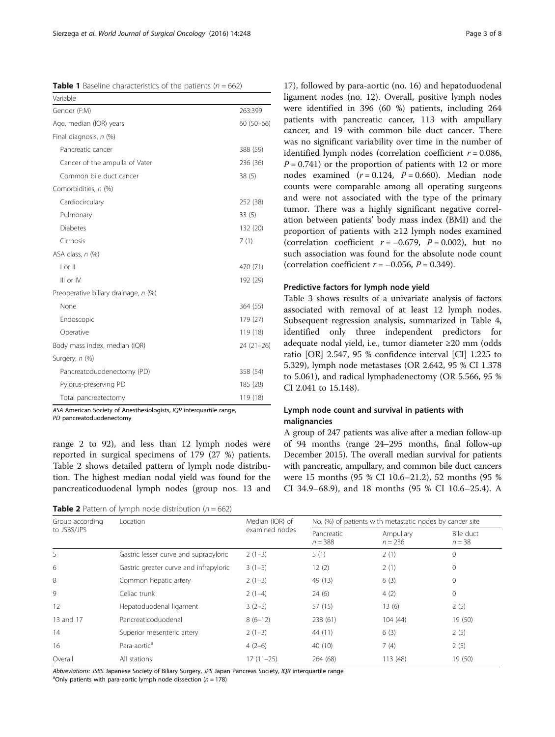<span id="page-2-0"></span>

|  | <b>Table 1</b> Baseline characteristics of the patients ( $n = 662$ ) |  |  |  |
|--|-----------------------------------------------------------------------|--|--|--|
|--|-----------------------------------------------------------------------|--|--|--|

| Variable                             |             |
|--------------------------------------|-------------|
| Gender (F:M)                         | 263:399     |
| Age, median (IQR) years              | $60(50-66)$ |
| Final diagnosis, n (%)               |             |
| Pancreatic cancer                    | 388 (59)    |
| Cancer of the ampulla of Vater       | 236 (36)    |
| Common bile duct cancer              | 38(5)       |
| Comorbidities, n (%)                 |             |
| Cardiocirculary                      | 252 (38)    |
| Pulmonary                            | 33(5)       |
| Diabetes                             | 132 (20)    |
| Cirrhosis                            | 7(1)        |
| ASA class, n (%)                     |             |
| $ $ or $  $                          | 470 (71)    |
| $III$ or $IV$                        | 192 (29)    |
| Preoperative biliary drainage, n (%) |             |
| None                                 | 364 (55)    |
| Endoscopic                           | 179 (27)    |
| Operative                            | 119 (18)    |
| Body mass index, median (IQR)        | $24(21-26)$ |
| Surgery, n (%)                       |             |
| Pancreatoduodenectomy (PD)           | 358 (54)    |
| Pylorus-preserving PD                | 185 (28)    |
| Total pancreatectomy                 | 119 (18)    |

ASA American Society of Anesthesiologists, IQR interquartile range,

PD pancreatoduodenectomy

range 2 to 92), and less than 12 lymph nodes were reported in surgical specimens of 179 (27 %) patients. Table 2 shows detailed pattern of lymph node distribution. The highest median nodal yield was found for the pancreaticoduodenal lymph nodes (group nos. 13 and

**Table 2** Pattern of lymph node distribution ( $n = 662$ )

17), followed by para-aortic (no. 16) and hepatoduodenal ligament nodes (no. 12). Overall, positive lymph nodes were identified in 396 (60 %) patients, including 264 patients with pancreatic cancer, 113 with ampullary cancer, and 19 with common bile duct cancer. There was no significant variability over time in the number of identified lymph nodes (correlation coefficient  $r = 0.086$ ,  $P = 0.741$  or the proportion of patients with 12 or more nodes examined  $(r = 0.124, P = 0.660)$ . Median node counts were comparable among all operating surgeons and were not associated with the type of the primary tumor. There was a highly significant negative correlation between patients' body mass index (BMI) and the proportion of patients with ≥12 lymph nodes examined (correlation coefficient  $r = -0.679$ ,  $P = 0.002$ ), but no such association was found for the absolute node count (correlation coefficient  $r = -0.056$ ,  $P = 0.349$ ).

# Predictive factors for lymph node yield

Table [3](#page-3-0) shows results of a univariate analysis of factors associated with removal of at least 12 lymph nodes. Subsequent regression analysis, summarized in Table [4](#page-3-0), identified only three independent predictors for adequate nodal yield, i.e., tumor diameter ≥20 mm (odds ratio [OR] 2.547, 95 % confidence interval [CI] 1.225 to 5.329), lymph node metastases (OR 2.642, 95 % CI 1.378 to 5.061), and radical lymphadenectomy (OR 5.566, 95 % CI 2.041 to 15.148).

# Lymph node count and survival in patients with malignancies

A group of 247 patients was alive after a median follow-up of 94 months (range 24–295 months, final follow-up December 2015). The overall median survival for patients with pancreatic, ampullary, and common bile duct cancers were 15 months (95 % CI 10.6–21.2), 52 months (95 % CI 34.9–68.9), and 18 months (95 % CI 10.6–25.4). A

| Group according | Location                               | Median (IQR) of<br>examined nodes | No. (%) of patients with metastatic nodes by cancer site |                        |                       |
|-----------------|----------------------------------------|-----------------------------------|----------------------------------------------------------|------------------------|-----------------------|
| to JSBS/JPS     |                                        |                                   | Pancreatic<br>$n = 388$                                  | Ampullary<br>$n = 236$ | Bile duct<br>$n = 38$ |
| 5               | Gastric lesser curve and suprapyloric  | $2(1-3)$                          | 5(1)                                                     | 2(1)                   | 0                     |
| 6               | Gastric greater curve and infrapyloric | $3(1-5)$                          | 12(2)                                                    | 2(1)                   | 0                     |
| 8               | Common hepatic artery                  | $2(1-3)$                          | 49 (13)                                                  | 6(3)                   | 0                     |
| 9               | Celiac trunk                           | $2(1-4)$                          | 24(6)                                                    | 4(2)                   | $\Omega$              |
| 12              | Hepatoduodenal ligament                | $3(2-5)$                          | 57 (15)                                                  | 13(6)                  | 2(5)                  |
| 13 and 17       | Pancreaticoduodenal                    | $8(6-12)$                         | 238 (61)                                                 | 104(44)                | 19(50)                |
| 14              | Superior mesenteric artery             | $2(1-3)$                          | 44 (11)                                                  | 6(3)                   | 2(5)                  |
| 16              | Para-aortic <sup>a</sup>               | $4(2-6)$                          | 40 (10)                                                  | 7(4)                   | 2(5)                  |
| Overall         | All stations                           | $17(11-25)$                       | 264 (68)                                                 | 113(48)                | 19 (50)               |

Abbreviations: JSBS Japanese Society of Biliary Surgery, JPS Japan Pancreas Society, IQR interquartile range <sup>a</sup>

<sup>a</sup>Only patients with para-aortic lymph node dissection ( $n = 178$ )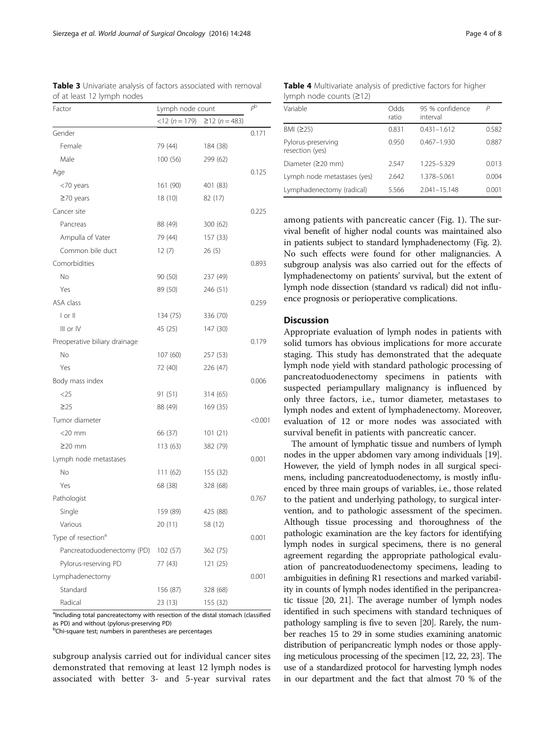cluding total pancreatectomy with resection of the distal stomach (classifiec as PD) and without (pylorus-preserving PD) <sup>b</sup>Chi-square test; numbers in parentheses are percentages

subgroup analysis carried out for individual cancer sites demonstrated that removing at least 12 lymph nodes is associated with better 3- and 5-year survival rates

| Factor                         | Lymph node count     |              |         |
|--------------------------------|----------------------|--------------|---------|
|                                | $<$ 12 ( $n = 179$ ) | $≥12(n=483)$ |         |
| Gender                         |                      |              | 0.171   |
| Female                         | 79 (44)              | 184 (38)     |         |
| Male                           | 100(56)              | 299 (62)     |         |
| Age                            |                      |              | 0.125   |
| <70 years                      | 161 (90)             | 401 (83)     |         |
| $\geq$ 70 years                | 18(10)               | 82 (17)      |         |
| Cancer site                    |                      |              | 0.225   |
| Pancreas                       | 88 (49)              | 300 (62)     |         |
| Ampulla of Vater               | 79 (44)              | 157 (33)     |         |
| Common bile duct               | 12(7)                | 26(5)        |         |
| Comorbidities                  |                      |              | 0.893   |
| No                             | 90 (50)              | 237 (49)     |         |
| Yes                            | 89 (50)              | 246 (51)     |         |
| ASA class                      |                      |              | 0.259   |
| I or II                        | 134 (75)             | 336 (70)     |         |
| III or IV                      | 45 (25)              | 147 (30)     |         |
| Preoperative biliary drainage  |                      |              | 0.179   |
| No                             | 107 (60)             | 257 (53)     |         |
| Yes                            | 72 (40)              | 226 (47)     |         |
| Body mass index                |                      |              | 0.006   |
| $<$ 25                         | 91 (51)              | 314 (65)     |         |
| $\geq$ 25                      | 88 (49)              | 169 (35)     |         |
| Tumor diameter                 |                      |              | < 0.001 |
| $<$ 20 mm                      | 66 (37)              | 101(21)      |         |
| $\geq$ 20 mm                   | 113 (63)             | 382 (79)     |         |
| Lymph node metastases          |                      |              | 0.001   |
| No                             | 111(62)              | 155 (32)     |         |
| Yes                            | 68 (38)              | 328 (68)     |         |
| Pathologist                    |                      |              | 0.767   |
| Single                         | 159 (89)             | 425 (88)     |         |
| Various                        | 20 (11)              | 58 (12)      |         |
| Type of resection <sup>a</sup> |                      |              | 0.001   |
| Pancreatoduodenectomy (PD)     | 102(57)              | 362 (75)     |         |
| Pylorus-reserving PD           | 77 (43)              | 121 (25)     |         |
| Lymphadenectomy                |                      |              | 0.001   |
| Standard                       | 156 (87)             | 328 (68)     |         |
| Radical                        | 23 (13)              | 155 (32)     |         |

<span id="page-3-0"></span>Table 3 Univariate analysis of factors associated with removal of at least 12 lymph nodes

Table 4 Multivariate analysis of predictive factors for higher lymph node counts (≥12)

| Variable                              | Odds<br>ratio | 95 % confidence<br>interval | Р     |
|---------------------------------------|---------------|-----------------------------|-------|
| BMI $(225)$                           | 0.831         | $0.431 - 1.612$             | 0.582 |
| Pylorus-preserving<br>resection (yes) | 0.950         | $0.467 - 1.930$             | 0.887 |
| Diameter $(220$ mm)                   | 2.547         | 1.225-5.329                 | 0.013 |
| Lymph node metastases (yes)           | 2.642         | 1.378-5.061                 | 0.004 |
| Lymphadenectomy (radical)             | 5.566         | $2.041 - 15.148$            | 0.001 |
|                                       |               |                             |       |

among patients with pancreatic cancer (Fig. [1\)](#page-4-0). The survival benefit of higher nodal counts was maintained also in patients subject to standard lymphadenectomy (Fig. [2](#page-4-0)). No such effects were found for other malignancies. A subgroup analysis was also carried out for the effects of lymphadenectomy on patients' survival, but the extent of lymph node dissection (standard vs radical) did not influence prognosis or perioperative complications.

# Discussion

Appropriate evaluation of lymph nodes in patients with solid tumors has obvious implications for more accurate staging. This study has demonstrated that the adequate lymph node yield with standard pathologic processing of pancreatoduodenectomy specimens in patients with suspected periampullary malignancy is influenced by only three factors, i.e., tumor diameter, metastases to lymph nodes and extent of lymphadenectomy. Moreover, evaluation of 12 or more nodes was associated with survival benefit in patients with pancreatic cancer.

The amount of lymphatic tissue and numbers of lymph nodes in the upper abdomen vary among individuals [[19](#page-6-0)]. However, the yield of lymph nodes in all surgical specimens, including pancreatoduodenectomy, is mostly influenced by three main groups of variables, i.e., those related to the patient and underlying pathology, to surgical intervention, and to pathologic assessment of the specimen. Although tissue processing and thoroughness of the pathologic examination are the key factors for identifying lymph nodes in surgical specimens, there is no general agreement regarding the appropriate pathological evaluation of pancreatoduodenectomy specimens, leading to ambiguities in defining R1 resections and marked variability in counts of lymph nodes identified in the peripancreatic tissue [[20](#page-6-0), [21](#page-6-0)]. The average number of lymph nodes identified in such specimens with standard techniques of pathology sampling is five to seven [\[20\]](#page-6-0). Rarely, the number reaches 15 to 29 in some studies examining anatomic distribution of peripancreatic lymph nodes or those applying meticulous processing of the specimen [\[12, 22, 23](#page-6-0)]. The use of a standardized protocol for harvesting lymph nodes in our department and the fact that almost 70 % of the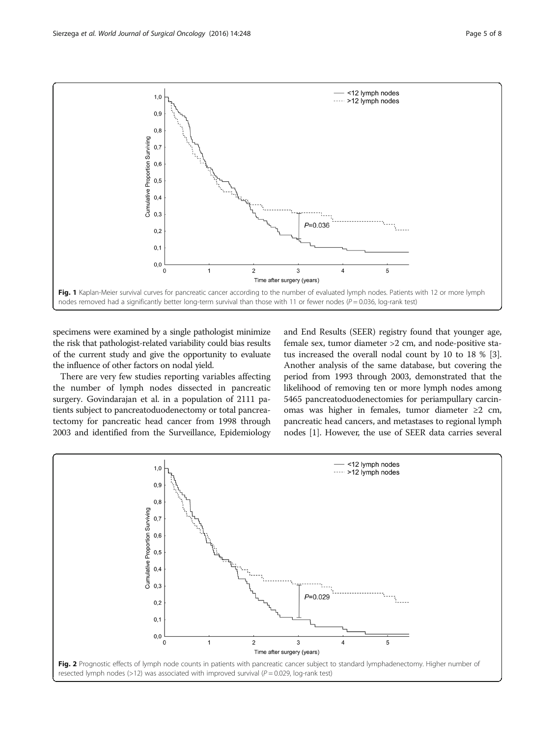<span id="page-4-0"></span>

specimens were examined by a single pathologist minimize the risk that pathologist-related variability could bias results of the current study and give the opportunity to evaluate the influence of other factors on nodal yield.

There are very few studies reporting variables affecting the number of lymph nodes dissected in pancreatic surgery. Govindarajan et al. in a population of 2111 patients subject to pancreatoduodenectomy or total pancreatectomy for pancreatic head cancer from 1998 through 2003 and identified from the Surveillance, Epidemiology and End Results (SEER) registry found that younger age, female sex, tumor diameter >2 cm, and node-positive status increased the overall nodal count by 10 to 18 % [[3](#page-6-0)]. Another analysis of the same database, but covering the period from 1993 through 2003, demonstrated that the likelihood of removing ten or more lymph nodes among 5465 pancreatoduodenectomies for periampullary carcinomas was higher in females, tumor diameter ≥2 cm, pancreatic head cancers, and metastases to regional lymph nodes [\[1](#page-6-0)]. However, the use of SEER data carries several

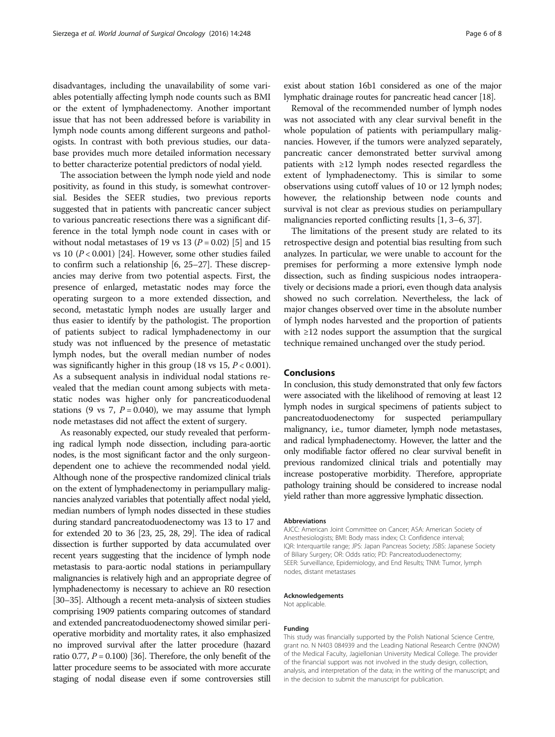disadvantages, including the unavailability of some variables potentially affecting lymph node counts such as BMI or the extent of lymphadenectomy. Another important issue that has not been addressed before is variability in lymph node counts among different surgeons and pathologists. In contrast with both previous studies, our database provides much more detailed information necessary to better characterize potential predictors of nodal yield.

The association between the lymph node yield and node positivity, as found in this study, is somewhat controversial. Besides the SEER studies, two previous reports suggested that in patients with pancreatic cancer subject to various pancreatic resections there was a significant difference in the total lymph node count in cases with or without nodal metastases of 19 vs 13 ( $P = 0.02$ ) [\[5](#page-6-0)] and 15 vs 10 (P < 0.001) [[24](#page-6-0)]. However, some other studies failed to confirm such a relationship [[6, 25](#page-6-0)–[27](#page-6-0)]. These discrepancies may derive from two potential aspects. First, the presence of enlarged, metastatic nodes may force the operating surgeon to a more extended dissection, and second, metastatic lymph nodes are usually larger and thus easier to identify by the pathologist. The proportion of patients subject to radical lymphadenectomy in our study was not influenced by the presence of metastatic lymph nodes, but the overall median number of nodes was significantly higher in this group (18 vs 15,  $P < 0.001$ ). As a subsequent analysis in individual nodal stations revealed that the median count among subjects with metastatic nodes was higher only for pancreaticoduodenal stations (9 vs 7,  $P = 0.040$ ), we may assume that lymph node metastases did not affect the extent of surgery.

As reasonably expected, our study revealed that performing radical lymph node dissection, including para-aortic nodes, is the most significant factor and the only surgeondependent one to achieve the recommended nodal yield. Although none of the prospective randomized clinical trials on the extent of lymphadenectomy in periampullary malignancies analyzed variables that potentially affect nodal yield, median numbers of lymph nodes dissected in these studies during standard pancreatoduodenectomy was 13 to 17 and for extended 20 to 36 [\[23, 25, 28, 29\]](#page-6-0). The idea of radical dissection is further supported by data accumulated over recent years suggesting that the incidence of lymph node metastasis to para-aortic nodal stations in periampullary malignancies is relatively high and an appropriate degree of lymphadenectomy is necessary to achieve an R0 resection [[30](#page-6-0)–[35](#page-7-0)]. Although a recent meta-analysis of sixteen studies comprising 1909 patients comparing outcomes of standard and extended pancreatoduodenectomy showed similar perioperative morbidity and mortality rates, it also emphasized no improved survival after the latter procedure (hazard ratio 0.77,  $P = 0.100$  [\[36](#page-7-0)]. Therefore, the only benefit of the latter procedure seems to be associated with more accurate staging of nodal disease even if some controversies still

exist about station 16b1 considered as one of the major lymphatic drainage routes for pancreatic head cancer [[18\]](#page-6-0).

Removal of the recommended number of lymph nodes was not associated with any clear survival benefit in the whole population of patients with periampullary malignancies. However, if the tumors were analyzed separately, pancreatic cancer demonstrated better survival among patients with ≥12 lymph nodes resected regardless the extent of lymphadenectomy. This is similar to some observations using cutoff values of 10 or 12 lymph nodes; however, the relationship between node counts and survival is not clear as previous studies on periampullary malignancies reported conflicting results [[1](#page-6-0), [3](#page-6-0)–[6,](#page-6-0) [37\]](#page-7-0).

The limitations of the present study are related to its retrospective design and potential bias resulting from such analyzes. In particular, we were unable to account for the premises for performing a more extensive lymph node dissection, such as finding suspicious nodes intraoperatively or decisions made a priori, even though data analysis showed no such correlation. Nevertheless, the lack of major changes observed over time in the absolute number of lymph nodes harvested and the proportion of patients with ≥12 nodes support the assumption that the surgical technique remained unchanged over the study period.

#### Conclusions

In conclusion, this study demonstrated that only few factors were associated with the likelihood of removing at least 12 lymph nodes in surgical specimens of patients subject to pancreatoduodenectomy for suspected periampullary malignancy, i.e., tumor diameter, lymph node metastases, and radical lymphadenectomy. However, the latter and the only modifiable factor offered no clear survival benefit in previous randomized clinical trials and potentially may increase postoperative morbidity. Therefore, appropriate pathology training should be considered to increase nodal yield rather than more aggressive lymphatic dissection.

#### Abbreviations

AJCC: American Joint Committee on Cancer; ASA: American Society of Anesthesiologists; BMI: Body mass index; CI: Confidence interval; IQR: Interquartile range; JPS: Japan Pancreas Society; JSBS: Japanese Society of Biliary Surgery; OR: Odds ratio; PD: Pancreatoduodenectomy; SEER: Surveillance, Epidemiology, and End Results; TNM: Tumor, lymph nodes, distant metastases

# Acknowledgements

Not applicable.

#### Funding

This study was financially supported by the Polish National Science Centre, grant no. N N403 084939 and the Leading National Research Centre (KNOW) of the Medical Faculty, Jagiellonian University Medical College. The provider of the financial support was not involved in the study design, collection, analysis, and interpretation of the data; in the writing of the manuscript; and in the decision to submit the manuscript for publication.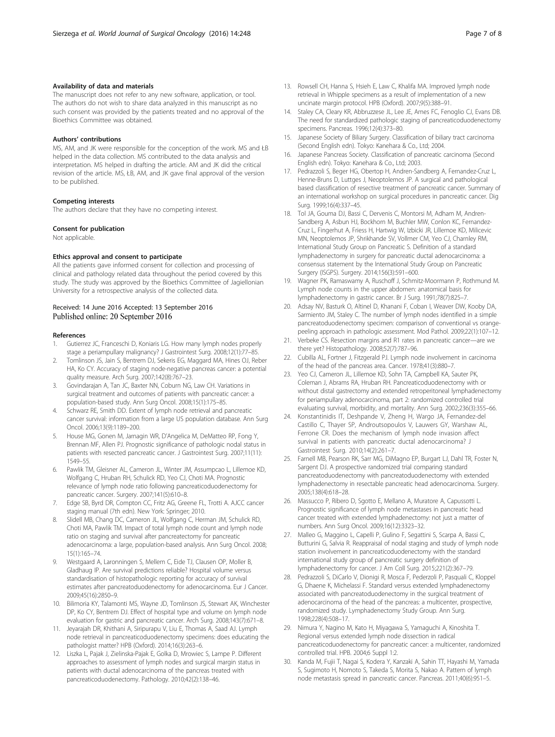# <span id="page-6-0"></span>Availability of data and materials

The manuscript does not refer to any new software, application, or tool. The authors do not wish to share data analyzed in this manuscript as no such consent was provided by the patients treated and no approval of the Bioethics Committee was obtained.

#### Authors' contributions

MS, AM, and JK were responsible for the conception of the work. MS and ŁB helped in the data collection. MS contributed to the data analysis and interpretation. MS helped in drafting the article. AM and JK did the critical revision of the article. MS, ŁB, AM, and JK gave final approval of the version to be published.

#### Competing interests

The authors declare that they have no competing interest.

# Consent for publication

Not applicable.

#### Ethics approval and consent to participate

All the patients gave informed consent for collection and processing of clinical and pathology related data throughout the period covered by this study. The study was approved by the Bioethics Committee of Jagiellonian University for a retrospective analysis of the collected data.

# Received: 14 June 2016 Accepted: 13 September 2016 Published online: 20 September 2016

#### References

- 1. Gutierrez JC, Franceschi D, Koniaris LG. How many lymph nodes properly stage a periampullary malignancy? J Gastrointest Surg. 2008;12(1):77–85.
- 2. Tomlinson JS, Jain S, Bentrem DJ, Sekeris EG, Maggard MA, Hines OJ, Reber HA, Ko CY. Accuracy of staging node-negative pancreas cancer: a potential quality measure. Arch Surg. 2007;142(8):767–23.
- 3. Govindarajan A, Tan JC, Baxter NN, Coburn NG, Law CH. Variations in surgical treatment and outcomes of patients with pancreatic cancer: a population-based study. Ann Surg Oncol. 2008;15(1):175–85.
- 4. Schwarz RE, Smith DD. Extent of lymph node retrieval and pancreatic cancer survival: information from a large US population database. Ann Surg Oncol. 2006;13(9):1189–200.
- 5. House MG, Gonen M, Jarnagin WR, D'Angelica M, DeMatteo RP, Fong Y, Brennan MF, Allen PJ. Prognostic significance of pathologic nodal status in patients with resected pancreatic cancer. J Gastrointest Surg. 2007;11(11): 1549–55.
- 6. Pawlik TM, Gleisner AL, Cameron JL, Winter JM, Assumpcao L, Lillemoe KD, Wolfgang C, Hruban RH, Schulick RD, Yeo CJ, Choti MA. Prognostic relevance of lymph node ratio following pancreaticoduodenectomy for pancreatic cancer. Surgery. 2007;141(5):610–8.
- 7. Edge SB, Byrd DR, Compton CC, Fritz AG, Greene FL, Trotti A. AJCC cancer staging manual (7th edn). New York: Springer; 2010.
- Slidell MB, Chang DC, Cameron JL, Wolfgang C, Herman JM, Schulick RD, Choti MA, Pawlik TM. Impact of total lymph node count and lymph node ratio on staging and survival after pancreatectomy for pancreatic adenocarcinoma: a large, population-based analysis. Ann Surg Oncol. 2008; 15(1):165–74.
- 9. Westgaard A, Laronningen S, Mellem C, Eide TJ, Clausen OP, Moller B, Gladhaug IP. Are survival predictions reliable? Hospital volume versus standardisation of histopathologic reporting for accuracy of survival estimates after pancreatoduodenectomy for adenocarcinoma. Eur J Cancer. 2009;45(16):2850–9.
- 10. Bilimoria KY, Talamonti MS, Wayne JD, Tomlinson JS, Stewart AK, Winchester DP, Ko CY, Bentrem DJ. Effect of hospital type and volume on lymph node evaluation for gastric and pancreatic cancer. Arch Surg. 2008;143(7):671–8.
- 11. Jeyarajah DR, Khithani A, Siripurapu V, Liu E, Thomas A, Saad AJ. Lymph node retrieval in pancreaticoduodenectomy specimens: does educating the pathologist matter? HPB (Oxford). 2014;16(3):263–6.
- 12. Liszka L, Pajak J, Zielinska-Pajak E, Golka D, Mrowiec S, Lampe P. Different approaches to assessment of lymph nodes and surgical margin status in patients with ductal adenocarcinoma of the pancreas treated with pancreaticoduodenectomy. Pathology. 2010;42(2):138–46.
- 13. Rowsell CH, Hanna S, Hsieh E, Law C, Khalifa MA. Improved lymph node retrieval in Whipple specimens as a result of implementation of a new uncinate margin protocol. HPB (Oxford). 2007;9(5):388–91.
- 14. Staley CA, Cleary KR, Abbruzzese JL, Lee JE, Ames FC, Fenoglio CJ, Evans DB. The need for standardized pathologic staging of pancreaticoduodenectomy specimens. Pancreas. 1996;12(4):373–80.
- 15. Japanese Society of Biliary Surgery. Classification of biliary tract carcinoma (Second English edn). Tokyo: Kanehara & Co., Ltd; 2004.
- 16. Japanese Pancreas Society. Classification of pancreatic carcinoma (Second English edn). Tokyo: Kanehara & Co., Ltd; 2003.
- 17. Pedrazzoli S, Beger HG, Obertop H, Andren-Sandberg A, Fernandez-Cruz L, Henne-Bruns D, Luttges J, Neoptolemos JP. A surgical and pathological based classification of resective treatment of pancreatic cancer. Summary of an international workshop on surgical procedures in pancreatic cancer. Dig Surg. 1999;16(4):337–45.
- 18. Tol JA, Gouma DJ, Bassi C, Dervenis C, Montorsi M, Adham M, Andren-Sandberg A, Asbun HJ, Bockhorn M, Buchler MW, Conlon KC, Fernandez-Cruz L, Fingerhut A, Friess H, Hartwig W, Izbicki JR, Lillemoe KD, Milicevic MN, Neoptolemos JP, Shrikhande SV, Vollmer CM, Yeo CJ, Charnley RM, International Study Group on Pancreatic S. Definition of a standard lymphadenectomy in surgery for pancreatic ductal adenocarcinoma: a consensus statement by the International Study Group on Pancreatic Surgery (ISGPS). Surgery. 2014;156(3):591–600.
- 19. Wagner PK, Ramaswamy A, Ruschoff J, Schmitz-Moormann P, Rothmund M. Lymph node counts in the upper abdomen: anatomical basis for lymphadenectomy in gastric cancer. Br J Surg. 1991;78(7):825–7.
- 20. Adsay NV, Basturk O, Altinel D, Khanani F, Coban I, Weaver DW, Kooby DA, Sarmiento JM, Staley C. The number of lymph nodes identified in a simple pancreatoduodenectomy specimen: comparison of conventional vs orangepeeling approach in pathologic assessment. Mod Pathol. 2009;22(1):107–12.
- 21. Verbeke CS. Resection margins and R1 rates in pancreatic cancer—are we there yet? Histopathology. 2008;52(7):787–96.
- 22. Cubilla AL, Fortner J, Fitzgerald PJ. Lymph node involvement in carcinoma of the head of the pancreas area. Cancer. 1978;41(3):880–7.
- 23. Yeo CJ, Cameron JL, Lillemoe KD, Sohn TA, Campbell KA, Sauter PK, Coleman J, Abrams RA, Hruban RH. Pancreaticoduodenectomy with or without distal gastrectomy and extended retroperitoneal lymphadenectomy for periampullary adenocarcinoma, part 2: randomized controlled trial evaluating survival, morbidity, and mortality. Ann Surg. 2002;236(3):355–66.
- 24. Konstantinidis IT, Deshpande V, Zheng H, Wargo JA, Fernandez-del Castillo C, Thayer SP, Androutsopoulos V, Lauwers GY, Warshaw AL, Ferrone CR. Does the mechanism of lymph node invasion affect survival in patients with pancreatic ductal adenocarcinoma? J Gastrointest Surg. 2010;14(2):261–7.
- 25. Farnell MB, Pearson RK, Sarr MG, DiMagno EP, Burgart LJ, Dahl TR, Foster N, Sargent DJ. A prospective randomized trial comparing standard pancreatoduodenectomy with pancreatoduodenectomy with extended lymphadenectomy in resectable pancreatic head adenocarcinoma. Surgery. 2005;138(4):618–28.
- 26. Massucco P, Ribero D, Sgotto E, Mellano A, Muratore A, Capussotti L. Prognostic significance of lymph node metastases in pancreatic head cancer treated with extended lymphadenectomy: not just a matter of numbers. Ann Surg Oncol. 2009;16(12):3323–32.
- 27. Malleo G, Maggino L, Capelli P, Gulino F, Segattini S, Scarpa A, Bassi C, Butturini G, Salvia R. Reappraisal of nodal staging and study of lymph node station involvement in pancreaticoduodenectomy with the standard international study group of pancreatic surgery definition of lymphadenectomy for cancer. J Am Coll Surg. 2015;221(2):367–79.
- 28. Pedrazzoli S, DiCarlo V, Dionigi R, Mosca F, Pederzoli P, Pasquali C, Kloppel G, Dhaene K, Michelassi F. Standard versus extended lymphadenectomy associated with pancreatoduodenectomy in the surgical treatment of adenocarcinoma of the head of the pancreas: a multicenter, prospective, randomized study. Lymphadenectomy Study Group. Ann Surg. 1998;228(4):508–17.
- 29. Nimura Y, Nagino M, Kato H, Miyagawa S, Yamaguchi A, Kinoshita T. Regional versus extended lymph node dissection in radical pancreaticoduodenectomy for pancreatic cancer: a multicenter, randomized controlled trial. HPB. 2004;6 Suppl 1:2.
- 30. Kanda M, Fujii T, Nagai S, Kodera Y, Kanzaki A, Sahin TT, Hayashi M, Yamada S, Sugimoto H, Nomoto S, Takeda S, Morita S, Nakao A. Pattern of lymph node metastasis spread in pancreatic cancer. Pancreas. 2011;40(6):951–5.